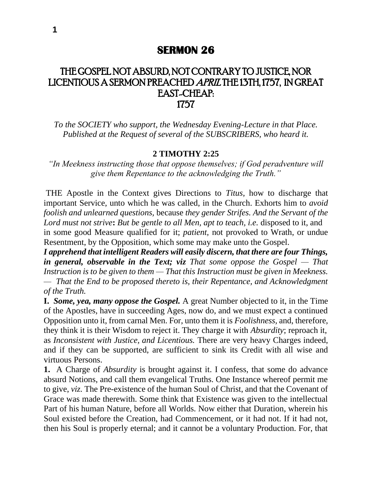## THE GOSPEL NOT ABSURD, NOT CONTRARY TO JUSTICE, NOR LICENTIOUS A SERMON PREACHED APRIL THE 13TH, 1757, IN GREAT EAST-CHEAP: 1757

*To the SOCIETY who support, the Wednesday Evening-Lecture in that Place. Published at the Request of several of the SUBSCRIBERS, who heard it.*

## **2 TIMOTHY 2:25**

*"In Meekness instructing those that oppose themselves; if God peradventure will give them Repentance to the acknowledging the Truth."*

THE Apostle in the Context gives Directions to *Titus,* how to discharge that important Service, unto which he was called, in the Church. Exhorts him to *avoid foolish and unlearned questions,* because *they gender Strifes. And the Servant of the Lord must not strive***:** *But be gentle to all Men, apt to teach, i.e.* disposed to it, and in some good Measure qualified for it; *patient,* not provoked to Wrath, or undue Resentment, by the Opposition, which some may make unto the Gospel.

*I apprehend that intelligent Readers will easily discern, that there are four Things, in general, observable in the Text; viz That some oppose the Gospel — That Instruction is to be given to them — That this Instruction must be given in Meekness. — That the End to be proposed thereto is, their Repentance, and Acknowledgment of the Truth.*

**I.** *Some, yea, many oppose the Gospel.* A great Number objected to it, in the Time of the Apostles, have in succeeding Ages, now do, and we must expect a continued Opposition unto it, from carnal Men. For, unto them it is *Foolishness,* and, therefore, they think it is their Wisdom to reject it. They charge it with *Absurdity*; reproach it, as *Inconsistent with Justice, and Licentious.* There are very heavy Charges indeed, and if they can be supported, are sufficient to sink its Credit with all wise and virtuous Persons.

**1.** A Charge of *Absurdity* is brought against it. I confess, that some do advance absurd Notions, and call them evangelical Truths. One Instance whereof permit me to give, *viz.* The Pre-existence of the human Soul of Christ, and that the Covenant of Grace was made therewith. Some think that Existence was given to the intellectual Part of his human Nature, before all Worlds. Now either that Duration, wherein his Soul existed before the Creation, had Commencement, or it had not. If it had not, then his Soul is properly eternal; and it cannot be a voluntary Production. For, that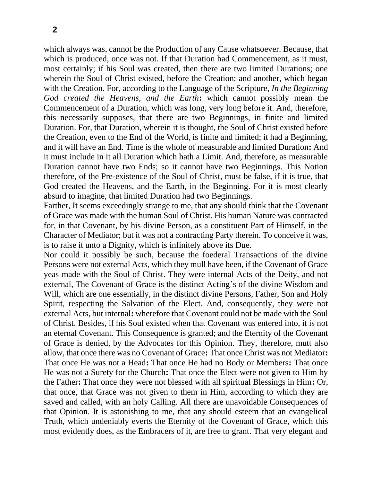which always was, cannot be the Production of any Cause whatsoever. Because, that which is produced, once was not. If that Duration had Commencement, as it must, most certainly; if his Soul was created, then there are two limited Durations; one wherein the Soul of Christ existed, before the Creation; and another, which began with the Creation. For, according to the Language of the Scripture, *In the Beginning God created the Heavens, and the Earth***:** which cannot possibly mean the Commencement of a Duration, which was long, very long before it. And, therefore, this necessarily supposes, that there are two Beginnings, in finite and limited Duration. For, that Duration, wherein it is thought, the Soul of Christ existed before the Creation, even to the End of the World, is finite and limited; it had a Beginning, and it will have an End. Time is the whole of measurable and limited Duration**:** And it must include in it all Duration which hath a Limit. And, therefore, as measurable Duration cannot have two Ends; so it cannot have two Beginnings. This Notion therefore, of the Pre-existence of the Soul of Christ, must be false, if it is true, that God created the Heavens, and the Earth, in the Beginning. For it is most clearly absurd to imagine, that limited Duration had two Beginnings.

Farther, It seems exceedingly strange to me, that any should think that the Covenant of Grace was made with the human Soul of Christ. His human Nature was contracted for, in that Covenant, by his divine Person, as a constituent Part of Himself, in the Character of Mediator; but it was not a contracting Party therein. To conceive it was, is to raise it unto a Dignity, which is infinitely above its Due.

Nor could it possibly be such, because the foederal Transactions of the divine Persons were not external Acts, which they mull have been, if the Covenant of Grace yeas made with the Soul of Christ. They were internal Acts of the Deity, and not external, The Covenant of Grace is the distinct Acting's of the divine Wisdom and Will, which are one essentially, in the distinct divine Persons, Father, Son and Holy Spirit, respecting the Salvation of the Elect. And, consequently, they were not external Acts, but internal**:** wherefore that Covenant could not be made with the Soul of Christ. Besides, if his Soul existed when that Covenant was entered into, it is not an eternal Covenant. This Consequence is granted; and the Eternity of the Covenant of Grace is denied, by the Advocates for this Opinion. They, therefore, mutt also allow, that once there was no Covenant of Grace**:** That once Christ was not Mediator**:**  That once He was not a Head**:** That once He had no Body or Members**:** That once He was not a Surety for the Church**:** That once the Elect were not given to Him by the Father**:** That once they were not blessed with all spiritual Blessings in Him**:** Or, that once, that Grace was not given to them in Him, according to which they are saved and called, with an holy Calling. All there are unavoidable Consequences of that Opinion. It is astonishing to me, that any should esteem that an evangelical Truth, which undeniably everts the Eternity of the Covenant of Grace, which this most evidently does, as the Embracers of it, are free to grant. That very elegant and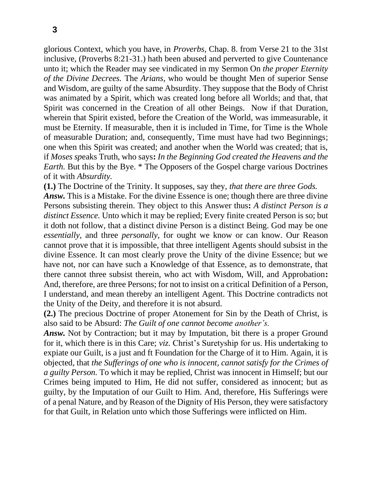glorious Context, which you have, in *Proverbs,* Chap. 8. from Verse 21 to the 31st inclusive, (Proverbs 8:21-31.) hath been abused and perverted to give Countenance unto it; which the Reader may see vindicated in my Sermon On *the proper Eternity of the Divine Decrees.* The *Arians,* who would be thought Men of superior Sense and Wisdom, are guilty of the same Absurdity. They suppose that the Body of Christ was animated by a Spirit, which was created long before all Worlds; and that, that Spirit was concerned in the Creation of all other Beings. Now if that Duration, wherein that Spirit existed, before the Creation of the World, was immeasurable, it must be Eternity. If measurable, then it is included in Time, for Time is the Whole of measurable Duration; and, consequently, Time must have had two Beginnings; one when this Spirit was created; and another when the World was created; that is, if *Moses sp*eaks Truth, who says**:** *In the Beginning God created the Heavens and the Earth.* But this by the Bye. \* The Opposers of the Gospel charge various Doctrines of it with *Absurdity.*

**(1.)** The Doctrine of the Trinity. It supposes, say they, *that there are three Gods. Answ.* This is a Mistake. For the divine Essence is one; though there are three divine Persons subsisting therein. They object to this Answer thus**:** *A distinct Person is a distinct Essence.* Unto which it may be replied; Every finite created Person is so; but it doth not follow, that a distinct divine Person is a distinct Being. God may be one *essentially,* and three *personally,* for ought we know or can know. Our Reason cannot prove that it is impossible, that three intelligent Agents should subsist in the divine Essence. It can most clearly prove the Unity of the divine Essence; but we have not, nor can have such a Knowledge of that Essence, as to demonstrate, that there cannot three subsist therein, who act with Wisdom, Will, and Approbation**:**  And, therefore, are three Persons; for not to insist on a critical Definition of a Person, I understand, and mean thereby an intelligent Agent. This Doctrine contradicts not the Unity of the Deity, and therefore it is not absurd.

**(2.)** The precious Doctrine of proper Atonement for Sin by the Death of Christ, is also said to be Absurd: *The Guilt of one cannot become another's.*

*Answ.* Not by Contraction; but it may by Imputation, bit there is a proper Ground for it, which there is in this Care; *viz.* Christ's Suretyship for us. His undertaking to expiate our Guilt, is a just and ft Foundation for the Charge of it to Him. Again, it is objected, that *the Sufferings of one who is innocent, cannot satisfy for the Crimes of a guilty Person.* To which it may be replied, Christ was innocent in Himself; but our Crimes being imputed to Him, He did not suffer, considered as innocent; but as guilty, by the Imputation of our Guilt to Him. And, therefore, His Sufferings were of a penal Nature, and by Reason of the Dignity of His Person, they were satisfactory for that Guilt, in Relation unto which those Sufferings were inflicted on Him.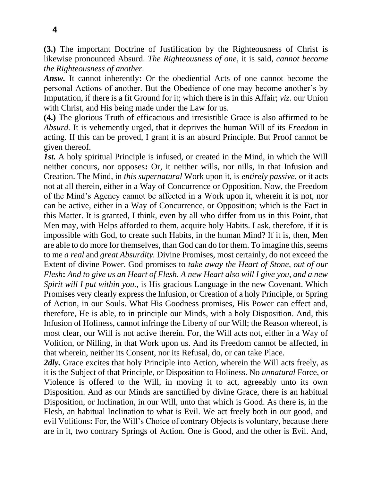**(3.)** The important Doctrine of Justification by the Righteousness of Christ is likewise pronounced Absurd. *The Righteousness of one,* it is said, *cannot become the Righteousness of another.*

*Answ.* It cannot inherently**:** Or the obediential Acts of one cannot become the personal Actions of another. But the Obedience of one may become another's by Imputation, if there is a fit Ground for it; which there is in this Affair; *viz.* our Union with Christ, and His being made under the Law for us.

**(4.)** The glorious Truth of efficacious and irresistible Grace is also affirmed to be *Absurd.* It is vehemently urged, that it deprives the human Will of its *Freedom* in acting. If this can be proved, I grant it is an absurd Principle. But Proof cannot be given thereof.

*1st.* A holy spiritual Principle is infused, or created in the Mind, in which the Will neither concurs, nor opposes**:** Or, it neither wills, nor nills, in that Infusion and Creation. The Mind, in *this supernatural* Work upon it, is *entirely passive,* or it acts not at all therein, either in a Way of Concurrence or Opposition. Now, the Freedom of the Mind's Agency cannot be affected in a Work upon it, wherein it is not, nor can be active, either in a Way of Concurrence, or Opposition; which is the Fact in this Matter. It is granted, I think, even by all who differ from us in this Point, that Men may, with Helps afforded to them, acquire holy Habits. I ask, therefore, if it is impossible with God, to create such Habits, in the human Mind? If it is, then, Men are able to do more for themselves, than God can do for them. To imagine this, seems to me *a real* and *great Absurdity.* Divine Promises, most certainly, do not exceed the Extent of divine Power. God promises to *take away the Heart of Stone, out of our Flesh***:** *And to give us an Heart of Flesh. A new Heart also will I give you, and a new Spirit will I put within you.,* is His gracious Language in the new Covenant. Which Promises very clearly express the Infusion, or Creation of a holy Principle, or Spring of Action, in our Souls. What His Goodness promises, His Power can effect and, therefore, He is able, to in principle our Minds, with a holy Disposition. And, this Infusion of Holiness, cannot infringe the Liberty of our Will; the Reason whereof, is most clear, our Will is not active therein. For, the Will acts not, either in a Way of Volition, or Nilling, in that Work upon us. And its Freedom cannot be affected, in that wherein, neither its Consent, nor its Refusal, do, or can take Place.

2*dly*. Grace excites that holy Principle into Action, wherein the Will acts freely, as it is the Subject of that Principle, or Disposition to Holiness. No *unnatural* Force, or Violence is offered to the Will, in moving it to act, agreeably unto its own Disposition. And as our Minds are sanctified by divine Grace, there is an habitual Disposition, or Inclination, in our Will, unto that which is Good. As there is, in the Flesh, an habitual Inclination to what is Evil. We act freely both in our good, and evil Volitions**:** For, the Will's Choice of contrary Objects is voluntary, because there are in it, two contrary Springs of Action. One is Good, and the other is Evil. And,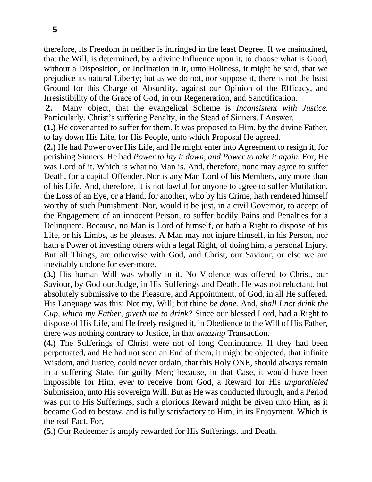therefore, its Freedom in neither is infringed in the least Degree. If we maintained, that the Will, is determined, by a divine Influence upon it, to choose what is Good, without a Disposition, or Inclination in it, unto Holiness, it might be said, that we prejudice its natural Liberty; but as we do not, nor suppose it, there is not the least Ground for this Charge of Absurdity, against our Opinion of the Efficacy, and Irresistibility of the Grace of God, in our Regeneration, and Sanctification.

**2.** Many object, that the evangelical Scheme is *Inconsistent with Justice.* Particularly, Christ's suffering Penalty, in the Stead of Sinners. I Answer,

**(1.)** He covenanted to suffer for them. It was proposed to Him, by the divine Father, to lay down His Life, for His People, unto which Proposal He agreed.

**(2.)** He had Power over His Life, and He might enter into Agreement to resign it, for perishing Sinners. He had *Power to lay it down, and Power to take it again.* For, He was Lord of it. Which is what no Man is. And, therefore, none may agree to suffer Death, for a capital Offender. Nor is any Man Lord of his Members, any more than of his Life. And, therefore, it is not lawful for anyone to agree to suffer Mutilation, the Loss of an Eye, or a Hand, for another, who by his Crime, hath rendered himself worthy of such Punishment. Nor, would it be just, in a civil Governor, to accept of the Engagement of an innocent Person, to suffer bodily Pains and Penalties for a Delinquent. Because, no Man is Lord of himself, or hath a Right to dispose of his Life, or his Limbs, as he pleases. A Man may not injure himself, in his Person, nor hath a Power of investing others with a legal Right, of doing him, a personal Injury. But all Things, are otherwise with God, and Christ, our Saviour, or else we are inevitably undone for ever-more.

**(3.)** His human Will was wholly in it. No Violence was offered to Christ, our Saviour, by God our Judge, in His Sufferings and Death. He was not reluctant, but absolutely submissive to the Pleasure, and Appointment, of God, in all He suffered. His Language was this: Not my, Will; but thine *be done.* And, *shall I not drink the Cup, which my Father, giveth me to drink?* Since our blessed Lord, had a Right to dispose of His Life, and He freely resigned it, in Obedience to the Will of His Father, there was nothing contrary to Justice, in that *amazing* Transaction.

**(4.)** The Sufferings of Christ were not of long Continuance. If they had been perpetuated, and He had not seen an End of them, it might be objected, that infinite Wisdom, and Justice, could never ordain, that this Holy ONE, should always remain in a suffering State, for guilty Men; because, in that Case, it would have been impossible for Him, ever to receive from God, a Reward for His *unparalleled*  Submission, unto His sovereign Will. But as He was conducted through, and a Period was put to His Sufferings, such a glorious Reward might be given unto Him, as it became God to bestow, and is fully satisfactory to Him, in its Enjoyment. Which is the real Fact. For,

**(5.)** Our Redeemer is amply rewarded for His Sufferings, and Death.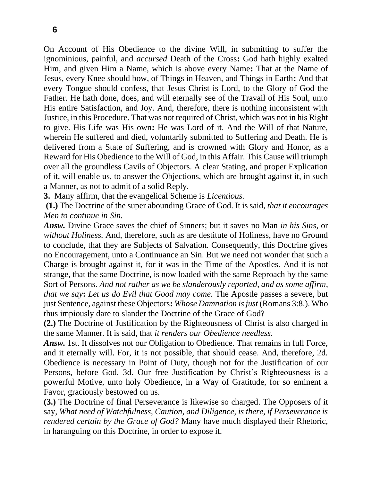On Account of His Obedience to the divine Will, in submitting to suffer the ignominious, painful, and *accursed* Death of the Cross**:** God hath highly exalted Him, and given Him a Name, which is above every Name**:** That at the Name of Jesus, every Knee should bow, of Things in Heaven, and Things in Earth**:** And that every Tongue should confess, that Jesus Christ is Lord, to the Glory of God the Father. He hath done, does, and will eternally see of the Travail of His Soul, unto His entire Satisfaction, and Joy. And, therefore, there is nothing inconsistent with Justice, in this Procedure. That was not required of Christ, which was not in his Right to give. His Life was His own**:** He was Lord of it. And the Will of that Nature, wherein He suffered and died, voluntarily submitted to Suffering and Death. He is delivered from a State of Suffering, and is crowned with Glory and Honor, as a Reward for His Obedience to the Will of God, in this Affair. This Cause will triumph over all the groundless Cavils of Objectors. A clear Stating, and proper Explication of it, will enable us, to answer the Objections, which are brought against it, in such a Manner, as not to admit of a solid Reply.

**3.** Many affirm, that the evangelical Scheme is *Licentious.*

**(1.)** The Doctrine of the super abounding Grace of God. It is said, *that it encourages Men to continue in Sin.*

*Answ.* Divine Grace saves the chief of Sinners; but it saves no Man *in his Sins,* or *without Holiness.* And, therefore, such as are destitute of Holiness, have no Ground to conclude, that they are Subjects of Salvation. Consequently, this Doctrine gives no Encouragement, unto a Continuance an Sin. But we need not wonder that such a Charge is brought against it, for it was in the Time of the Apostles. And it is not strange, that the same Doctrine, is now loaded with the same Reproach by the same Sort of Persons. *And not rather as we be slanderously reported, and as some affirm, that we say***:** *Let us do Evil that Good may come.* The Apostle passes a severe, but just Sentence, against these Objectors**:** *Whose Damnation is just* (Romans 3:8.). Who thus impiously dare to slander the Doctrine of the Grace of God?

**(2.)** The Doctrine of Justification by the Righteousness of Christ is also charged in the same Manner. It is said, that *it renders our Obedience needless.*

*Answ.* 1st. It dissolves not our Obligation to Obedience. That remains in full Force, and it eternally will. For, it is not possible, that should cease. And, therefore, 2d. Obedience is necessary in Point of Duty, though not for the Justification of our Persons, before God. 3d. Our free Justification by Christ's Righteousness is a powerful Motive, unto holy Obedience, in a Way of Gratitude, for so eminent a Favor, graciously bestowed on us.

**(3.)** The Doctrine of final Perseverance is likewise so charged. The Opposers of it say, *What need of Watchfulness, Caution, and Diligence, is there, if Perseverance is rendered certain by the Grace of God?* Many have much displayed their Rhetoric, in haranguing on this Doctrine, in order to expose it.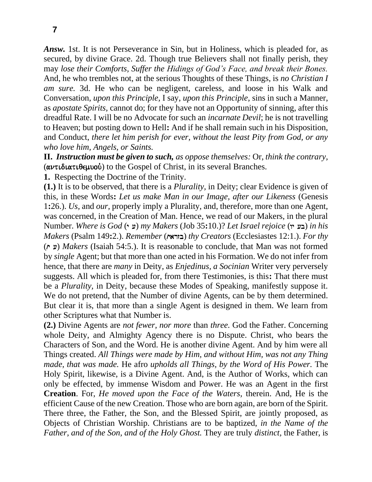*Answ.* 1st. It is not Perseverance in Sin, but in Holiness, which is pleaded for, as secured, by divine Grace. 2d. Though true Believers shall not finally perish, they may *lose their Comforts, Suffer the Hidings of God's Face, and break their Bones.*  And, he who trembles not, at the serious Thoughts of these Things, is *no Christian I am sure.* 3d. He who can be negligent, careless, and loose in his Walk and Conversation, *upon this Principle,* I say, *upon this Principle,* sins in such a Manner, as *apostate Spirits,* cannot do; for they have not an Opportunity of sinning, after this dreadful Rate. I will be no Advocate for such an *incarnate Devil*; he is not travelling to Heaven; but posting down to Hell**:** And if he shall remain such in his Disposition, and Conduct, *there let him perish for ever, without the least Pity from God, or any who love him, Angels, or Saints.*

**II.** *Instruction must be given to such, as oppose themselves:* Or, *think the contrary,*   $(\alpha\nu\tau\iota\delta\iota\alpha\tau\iota\theta\epsilon\mu\nu\sigma\iota)$  to the Gospel of Christ, in its several Branches.

**1.** Respecting the Doctrine of the Trinity.

**(1.)** It is to be observed, that there is a *Plurality,* in Deity; clear Evidence is given of this, in these Words**:** *Let us make Man in our Image, after our Likeness* (Genesis 1**:**26.). *Us,* and *our,* properly imply a Plurality, and, therefore, more than one Agent, was concerned, in the Creation of Man. Hence, we read of our Makers, in the plural Number. *Where is God* (yç[) *my Makers* (Job 35**:**10.)? *Let Israel rejoice* (wyç[b) *in his Makers* (Psalm 149**:**2.). *Remember* (Æyarzb) *thy Creators* (Ecclesiastes 12:1.). *For thy*  (Æyç[) *Makers* (Isaiah 54:5.). It is reasonable to conclude, that Man was not formed by *single* Agent; but that more than one acted in his Formation. We do not infer from hence, that there are *many* in Deity, as *Enjedinus, a Socinian* Writer very perversely suggests. All which is pleaded for, from there Testimonies, is this**:** That there must be a *Plurality,* in Deity, because these Modes of Speaking, manifestly suppose it. We do not pretend, that the Number of divine Agents, can be by them determined. But clear it is, that more than a single Agent is designed in them. We learn from other Scriptures what that Number is.

**(2.)** Divine Agents are *not fewer, nor more* than *three.* God the Father. Concerning whole Deity, and Almighty Agency there is no Dispute. Christ, who bears the Characters of Son, and the Word. He is another divine Agent. And by him were all Things created. *All Things were made by Him, and without Him, was not any Thing made, that was made.* He afro *upholds all Things, by the Word of His Power.* The Holy Spirit, likewise, is a Divine Agent. And, is the Author of Works, which can only be effected, by immense Wisdom and Power. He was an Agent in the first **Creation**. For, *He moved upon the Face of the Waters,* therein. And, He is the efficient Cause of the new Creation. Those who are born again, are born of the Spirit. There three, the Father, the Son, and the Blessed Spirit, are jointly proposed, as Objects of Christian Worship. Christians are to be baptized, *in the Name of the Father, and of the Son, and of the Holy Ghost.* They are truly *distinct,* the Father, is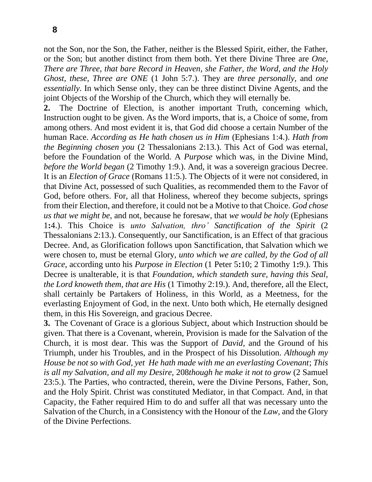not the Son, nor the Son, the Father, neither is the Blessed Spirit, either, the Father, or the Son; but another distinct from them both. Yet there Divine Three are *One, There are Three, that bare Record in Heaven, she Father, the Word, and the Holy Ghost, these, Three are ONE* (1 John 5:7.). They are *three personally,* and *one essentially.* In which Sense only, they can be three distinct Divine Agents, and the joint Objects of the Worship of the Church, which they will eternally be.

**2.** The Doctrine of Election, is another important Truth, concerning which, Instruction ought to be given. As the Word imports, that is, a Choice of some, from among others. And most evident it is, that God did choose a certain Number of the human Race. *According as He hath chosen us in Him* (Ephesians 1:4.). *Hath from the Beginning chosen you* (2 Thessalonians 2:13.). This Act of God was eternal, before the Foundation of the World. A *Purpose* which was, in the Divine Mind, *before the World began* (2 Timothy 1:9.). And, it was a sovereign gracious Decree. It is an *Election of Grace* (Romans 11:5.). The Objects of it were not considered, in that Divine Act, possessed of such Qualities, as recommended them to the Favor of God, before others. For, all that Holiness, whereof they become subjects, springs from their Election, and therefore, it could not be a Motive to that Choice. *God chose us that we might be,* and not, because he foresaw, that *we would be holy* (Ephesians 1**:**4.). This Choice is *unto Salvation, thro' Sanctification of the Spirit* (2 Thessalonians 2:13.). Consequently, our Sanctification, is an Effect of that gracious Decree. And, as Glorification follows upon Sanctification, that Salvation which we were chosen to, must be eternal Glory, *unto which we are called, by the God of all Grace,* according unto his *Purpose in Election* (1 Peter 5**:**10; 2 Timothy 1**:**9.). This Decree is unalterable, it is that *Foundation, which standeth sure, having this Seal, the Lord knoweth them, that are His* (1 Timothy 2:19.). And, therefore, all the Elect, shall certainly be Partakers of Holiness, in this World, as a Meetness, for the everlasting Enjoyment of God, in the next. Unto both which, He eternally designed them, in this His Sovereign, and gracious Decree.

**3.** The Covenant of Grace is a glorious Subject, about which Instruction should be given. That there is a Covenant, wherein, Provision is made for the Salvation of the Church, it is most dear. This was the Support of *David,* and the Ground of his Triumph, under his Troubles, and in the Prospect of his Dissolution. *Although my House be not so with God, yet He hath made with me an everlasting Covenant*; *This is all my Salvation, and all my Desire,* 208*though he make it not to grow* (2 Samuel 23:5.). The Parties, who contracted, therein, were the Divine Persons, Father, Son, and the Holy Spirit. Christ was constituted Mediator, in that Compact. And, in that Capacity, the Father required Him to do and suffer all that was necessary unto the Salvation of the Church, in a Consistency with the Honour of the *Law,* and the Glory of the Divine Perfections.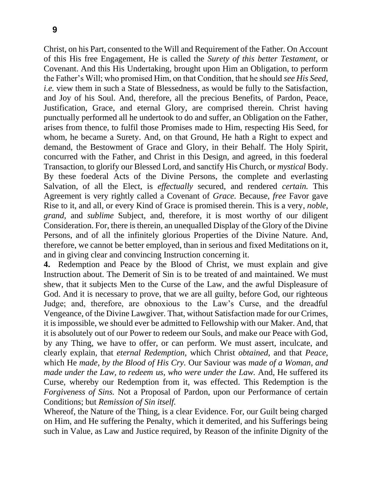Christ, on his Part, consented to the Will and Requirement of the Father. On Account of this His free Engagement, He is called the *Surety of this better Testament,* or Covenant. And this His Undertaking, brought upon Him an Obligation, to perform the Father's Will; who promised Him, on that Condition, that he should *see His Seed, i.e.* view them in such a State of Blessedness, as would be fully to the Satisfaction, and Joy of his Soul. And, therefore, all the precious Benefits, of Pardon, Peace, Justification, Grace, and eternal Glory, are comprised therein. Christ having punctually performed all he undertook to do and suffer, an Obligation on the Father, arises from thence, to fulfil those Promises made to Him, respecting His Seed, for whom, he became a Surety. And, on that Ground, He hath a Right to expect and demand, the Bestowment of Grace and Glory, in their Behalf. The Holy Spirit, concurred with the Father, and Christ in this Design, and agreed, in this foederal Transaction, to glorify our Blessed Lord, and sanctify His Church, or *mystical* Body. By these foederal Acts of the Divine Persons, the complete and everlasting Salvation, of all the Elect, is *effectually* secured, and rendered *certain.* This Agreement is very rightly called a Covenant of *Grace.* Because, *free* Favor gave Rise to it, and all, or every Kind of Grace is promised therein. This is a very*, noble, grand,* and *sublime* Subject, and, therefore, it is most worthy of our diligent Consideration. For, there is therein, an unequalled Display of the Glory of the Divine Persons, and of all the infinitely glorious Properties of the Divine Nature. And, therefore, we cannot be better employed, than in serious and fixed Meditations on it, and in giving clear and convincing Instruction concerning it.

**4.** Redemption and Peace by the Blood of Christ, we must explain and give Instruction about. The Demerit of Sin is to be treated of and maintained. We must shew, that it subjects Men to the Curse of the Law, and the awful Displeasure of God. And it is necessary to prove, that we are all guilty, before God, our righteous Judge; and, therefore, are obnoxious to the Law's Curse, and the dreadful Vengeance, of the Divine Lawgiver. That, without Satisfaction made for our Crimes, it is impossible, we should ever be admitted to Fellowship with our Maker. And, that it is absolutely out of our Power to redeem our Souls, and make our Peace with God, by any Thing, we have to offer, or can perform. We must assert, inculcate, and clearly explain, that *eternal Redemption,* which Christ *obtained,* and that *Peace,*  which He *made, by the Blood of His Cry.* Our Saviour was *made of a Woman, and made under the Law, to redeem us, who were under the Law.* And, He suffered its Curse, whereby our Redemption from it, was effected. This Redemption is the *Forgiveness of Sins.* Not a Proposal of Pardon, upon our Performance of certain Conditions; but *Remission of Sin itself.*

Whereof, the Nature of the Thing, is a clear Evidence. For, our Guilt being charged on Him, and He suffering the Penalty, which it demerited, and his Sufferings being such in Value, as Law and Justice required, by Reason of the infinite Dignity of the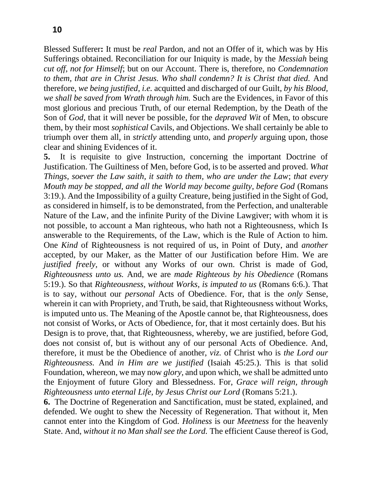Blessed Sufferer**:** It must be *real* Pardon, and not an Offer of it, which was by His Sufferings obtained. Reconciliation for our Iniquity is made, by the *Messiah* being *cut off, not for Himself*; but on our Account. There is, therefore, no *Condemnation to them, that are in Christ Jesus. Who shall condemn? It is Christ that died.* And therefore, *we being justified, i.e.* acquitted and discharged of our Guilt, *by his Blood, we shall be saved from Wrath through him.* Such are the Evidences, in Favor of this most glorious and precious Truth, of our eternal Redemption, by the Death of the Son of *God,* that it will never be possible, for the *depraved Wit* of Men, to obscure them, by their most *sophistical* Cavils, and Objections. We shall certainly be able to triumph over them all, in *strictly* attending unto, and *properly* arguing upon, those clear and shining Evidences of it.

**5.** It is requisite to give Instruction, concerning the important Doctrine of Justification. The Guiltiness of Men, before God, is to be asserted and proved. *What Things, soever the Law saith, it saith to them, who are under the Law*; *that every Mouth may be stopped, and all the World may become guilty, before God* (Romans 3:19.). And the Impossibility of a guilty Creature, being justified in the Sight of God, as considered in himself, is to be demonstrated, from the Perfection, and unalterable Nature of the Law, and the infinite Purity of the Divine Lawgiver; with whom it is not possible, to account a Man righteous, who hath not a Righteousness, which Is answerable to the Requirements, of the Law, which is the Rule of Action to him. One *Kind* of Righteousness is not required of us, in Point of Duty, and *another*  accepted, by our Maker, as the Matter of our Justification before Him. We are *justified freely,* or without any Works of our own. Christ is made of God, *Righteousness unto us.* And, we are *made Righteous by his Obedience* (Romans 5:19.). So that *Righteousness, without Works, is imputed to us* (Romans 6:6.). That is to say, without our *personal* Acts of Obedience. For, that is the *only* Sense, wherein it can with Propriety, and Truth, be said, that Righteousness without Works, is imputed unto us. The Meaning of the Apostle cannot be, that Righteousness, does not consist of Works, or Acts of Obedience, for, that it most certainly does. But his Design is to prove, that, that Righteousness, whereby, we are justified, before God, does not consist of, but is without any of our personal Acts of Obedience. And, therefore, it must be the Obedience of another, *viz.* of Christ who is *the Lord our Righteousness.* And *in Him are we justified* (Isaiah 45:25.). This is that solid Foundation, whereon, we may now *glory,* and upon which, we shall be admitted unto the Enjoyment of future Glory and Blessedness. For, *Grace will reign, through Righteousness unto eternal Life, by Jesus Christ our Lord (Romans 5:21.).* 

**6.** The Doctrine of Regeneration and Sanctification, must be stated, explained, and defended. We ought to shew the Necessity of Regeneration. That without it, Men cannot enter into the Kingdom of God. *Holiness* is our *Meetness* for the heavenly State. And, *without it no Man shall see the Lord.* The efficient Cause thereof is God,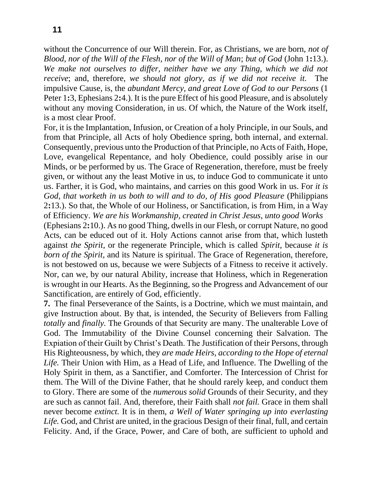without the Concurrence of our Will therein. For, as Christians, we are born, *not of Blood, nor of the Will of the Flesh, nor of the Will of Man*; *but of God* (John 1**:**13.). We make not ourselves to differ, neither have we any Thing, which we did not *receive*; and, therefore, *we should not glory, as if we did not receive it.* The impulsive Cause, is, the *abundant Mercy, and great Love of God to our Persons* (1 Peter 1**:**3, Ephesians 2**:**4.). It is the pure Effect of his good Pleasure, and is absolutely without any moving Consideration, in us. Of which, the Nature of the Work itself, is a most clear Proof.

For, it is the Implantation, Infusion, or Creation of a holy Principle, in our Souls, and from that Principle, all Acts of holy Obedience spring, both internal, and external. Consequently, previous unto the Production of that Principle, no Acts of Faith, Hope, Love, evangelical Repentance, and holy Obedience, could possibly arise in our Minds, or be performed by us. The Grace of Regeneration, therefore, must be freely given, or without any the least Motive in us, to induce God to communicate it unto us. Farther, it is God, who maintains, and carries on this good Work in us. For *it is God, that worketh in us both to will and to do, of His good Pleasure* (Philippians 2**:**13.). So that, the Whole of our Holiness, or Sanctification, is from Him, in a Way of Efficiency. *We are his Workmanship, created in Christ Jesus, unto good Works*

(Ephesians 2**:**10.). As no good Thing, dwells in our Flesh, or corrupt Nature, no good Acts, can be educed out of it. Holy Actions cannot arise from that, which lusteth against *the Spirit,* or the regenerate Principle, which is called *Spirit,* because *it is born of the Spirit*, and its Nature is spiritual. The Grace of Regeneration, therefore, is not bestowed on us, because we were Subjects of a Fitness to receive it actively. Nor, can we, by our natural Ability, increase that Holiness, which in Regeneration is wrought in our Hearts. As the Beginning, so the Progress and Advancement of our Sanctification, are entirely of God, efficiently.

**7.** The final Perseverance of the Saints, is a Doctrine, which we must maintain, and give Instruction about. By that, is intended, the Security of Believers from Falling *totally* and *finally.* The Grounds of that Security are many. The unalterable Love of God. The Immutability of the Divine Counsel concerning their Salvation. The Expiation of their Guilt by Christ's Death. The Justification of their Persons, through His Righteousness, by which, they *are made Heirs, according to the Hope of eternal Life.* Their Union with Him, as a Head of Life, and Influence. The Dwelling of the Holy Spirit in them, as a Sanctifier, and Comforter. The Intercession of Christ for them. The Will of the Divine Father, that he should rarely keep, and conduct them to Glory. There are some of the *numerous solid* Grounds of their Security, and they are such as cannot fail. And, therefore, their Faith shall *not fail.* Grace in them shall never become *extinct.* It is in them, *a Well of Water springing up into everlasting*  Life. God, and Christ are united, in the gracious Design of their final, full, and certain Felicity. And, if the Grace, Power, and Care of both, are sufficient to uphold and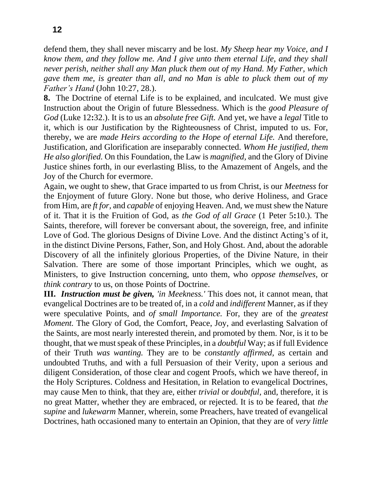defend them, they shall never miscarry and be lost. *My Sheep hear my Voice, and I know them, and they follow me. And I give unto them eternal Life, and they shall never perish, neither shall any Man pluck them out of my Hand. My Father, which gave them me, is greater than all, and no Man is able to pluck them out of my Father's Hand* (John 10:27, 28.).

**8.** The Doctrine of eternal Life is to be explained, and inculcated. We must give Instruction about the Origin of future Blessedness. Which is the *good Pleasure of God* (Luke 12**:**32.). It is to us an *absolute free Gift.* And yet, we have a *legal* Title to it, which is our Justification by the Righteousness of Christ, imputed to us. For, thereby, we are *made Heirs according to the Hope of eternal Life.* And therefore, Justification, and Glorification are inseparably connected. *Whom He justified, them He also glorified.* On this Foundation, the Law is *magnified,* and the Glory of Divine Justice shines forth, in our everlasting Bliss, to the Amazement of Angels, and the Joy of the Church for evermore.

Again, we ought to shew, that Grace imparted to us from Christ, is our *Meetness* for the Enjoyment of future Glory. None but those, who derive Holiness, and Grace from Him, are *ft for,* and *capable* of enjoying Heaven. And, we must shew the Nature of it. That it is the Fruition of God, as *the God of all Grace* (1 Peter 5**:**10.). The Saints, therefore, will forever be conversant about, the sovereign, free, and infinite Love of God. The glorious Designs of Divine Love. And the distinct Acting's of it, in the distinct Divine Persons, Father, Son, and Holy Ghost. And, about the adorable Discovery of all the infinitely glorious Properties, of the Divine Nature, in their Salvation. There are some of those important Principles, which we ought, as Ministers, to give Instruction concerning, unto them, who *oppose themselves,* or *think contrary* to us, on those Points of Doctrine.

**III.** *Instruction must be given, 'in Meekness.'* This does not, it cannot mean, that evangelical Doctrines are to be treated of, in a *cold* and *indifferent* Manner, as if they were speculative Points, and *of small Importance.* For, they are of the *greatest Moment.* The Glory of God, the Comfort, Peace, Joy, and everlasting Salvation of the Saints, are most nearly interested therein, and promoted by them. Nor, is it to be thought, that we must speak of these Principles, in a *doubtful* Way; as if full Evidence of their Truth *was wanting.* They are to be *constantly affirmed,* as certain and undoubted Truths, and with a full Persuasion of their Verity, upon a serious and diligent Consideration, of those clear and cogent Proofs, which we have thereof, in the Holy Scriptures. Coldness and Hesitation, in Relation to evangelical Doctrines, may cause Men to think, that they are, either *trivial* or *doubtful,* and, therefore, it is no great Matter, whether they are embraced, or rejected. It is to be feared, that *the supine* and *lukewarm* Manner, wherein, some Preachers, have treated of evangelical Doctrines, hath occasioned many to entertain an Opinion, that they are of *very little*